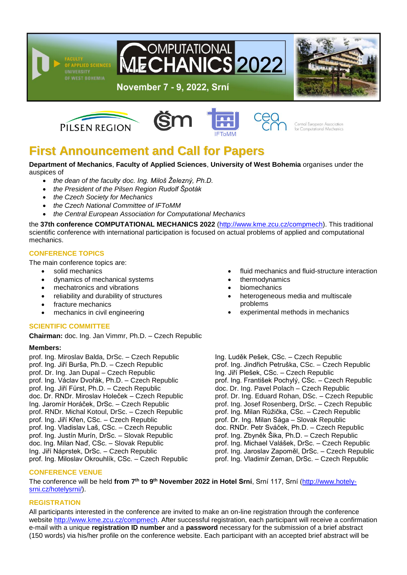

**OMPUTATIONAL ICS2022** 









Central European Association for Computational Mechanics

# **First Announcement and Call for Papers**

#### **Department of Mechanics**, **Faculty of Applied Sciences**, **University of West Bohemia** organises under the auspices of

- *the dean of the faculty doc. Ing. Miloš Železný, Ph.D.*
- *the President of the Pilsen Region Rudolf Špoták*
- *the Czech Society for Mechanics*
- *the Czech National Committee of IFToMM*
- *the Central European Association for Computational Mechanics*

the **37th conference COMPUTATIONAL MECHANICS 2022** [\(http://www.kme.zcu.cz/compmech\)](http://www.kme.zcu.cz/compmech). This traditional scientific conference with international participation is focused on actual problems of applied and computational mechanics.

# **CONFERENCE TOPICS**

The main conference topics are:

- solid mechanics
- dynamics of mechanical systems
- mechatronics and vibrations
- reliability and durability of structures
- fracture mechanics
- mechanics in civil engineering

# **SCIENTIFIC COMMITTEE**

**Chairman:** doc. Ing. Jan Vimmr, Ph.D. – Czech Republic

## **Members:**

prof. Ing. Miroslav Balda, DrSc. – Czech Republic prof. Ing. Jiří Burša, Ph.D. – Czech Republic prof. Dr. Ing. Jan Dupal – Czech Republic prof. Ing. Václav Dvořák, Ph.D. – Czech Republic prof. Ing. Jiří Fürst, Ph.D. – Czech Republic doc. Dr. RNDr. Miroslav Holeček – Czech Republic Ing. Jaromír Horáček, DrSc. – Czech Republic prof. RNDr. Michal Kotoul, DrSc. – Czech Republic prof. Ing. Jiří Křen, CSc. – Czech Republic prof. Ing. Vladislav Laš, CSc. – Czech Republic prof. Ing. Justín Murín, DrSc. – Slovak Republic doc. Ing. Milan Naď, CSc. – Slovak Republic Ing. Jiří Náprstek, DrSc. – Czech Republic prof. Ing. Miloslav Okrouhlík, CSc. – Czech Republic fluid mechanics and fluid-structure interaction

- thermodynamics
- biomechanics
- heterogeneous media and multiscale problems
- experimental methods in mechanics

Ing. Luděk Pešek, CSc. – Czech Republic prof. Ing. Jindřich Petruška, CSc. – Czech Republic Ing. Jiří Plešek, CSc. – Czech Republic prof. Ing. František Pochylý, CSc. – Czech Republic doc. Dr. Ing. Pavel Polach – Czech Republic prof. Dr. Ing. Eduard Rohan, DSc. – Czech Republic prof. Ing. Josef Rosenberg, DrSc. – Czech Republic prof. Ing. Milan Růžička, CSc. – Czech Republic prof. Dr. Ing. Milan Sága – Slovak Republic doc. RNDr. Petr Sváček, Ph.D. – Czech Republic prof. Ing. Zbyněk Šika, Ph.D. – Czech Republic prof. Ing. Michael Valášek, DrSc. – Czech Republic prof. Ing. Jaroslav Zapoměl, DrSc. – Czech Republic prof. Ing. Vladimír Zeman, DrSc. – Czech Republic

# **CONFERENCE VENUE**

The conference will be held **from 7 th to 9 th November 2022 in Hotel Srní**, Srní 117, Srní [\(http://www.hotely](http://www.hotely-srni.cz/hotelysrni/)[srni.cz/hotelysrni/\)](http://www.hotely-srni.cz/hotelysrni/).

## **REGISTRATION**

All participants interested in the conference are invited to make an on-line registration through the conference website [http://www.kme.zcu.cz/compmech.](http://www.kme.zcu.cz/compmech) After successful registration, each participant will receive a confirmation e-mail with a unique **registration ID number** and a **password** necessary for the submission of a brief abstract (150 words) via his/her profile on the conference website. Each participant with an accepted brief abstract will be